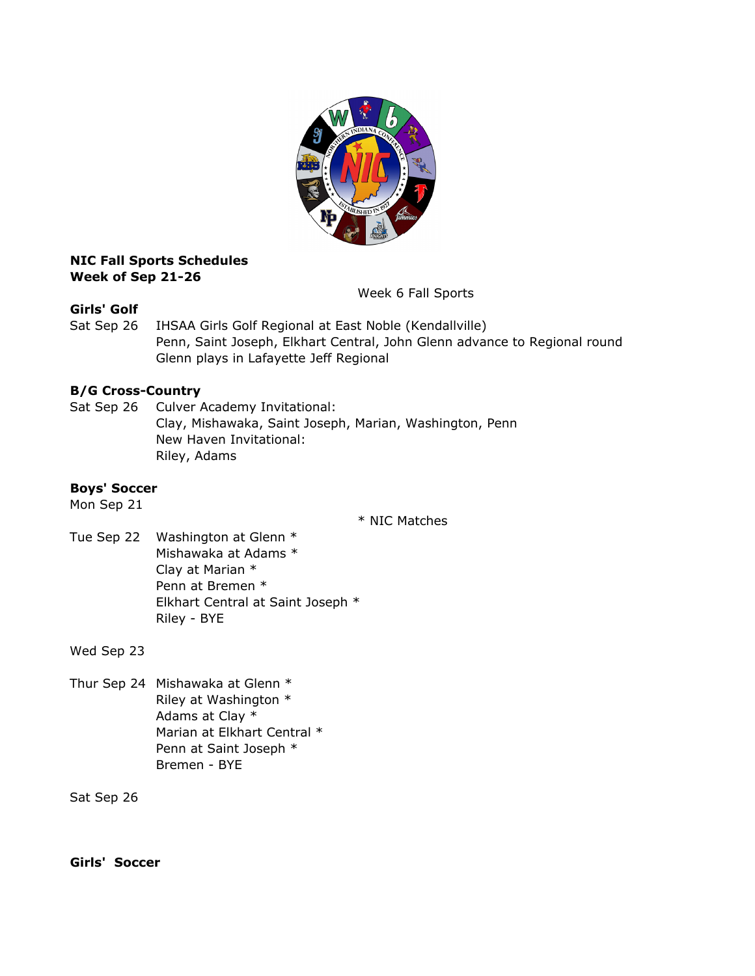

### NIC Fall Sports Schedules Week of Sep 21-26

Week 6 Fall Sports

## Girls' Golf

Sat Sep 26 IHSAA Girls Golf Regional at East Noble (Kendallville) Penn, Saint Joseph, Elkhart Central, John Glenn advance to Regional round Glenn plays in Lafayette Jeff Regional

# B/G Cross-Country

Sat Sep 26 Culver Academy Invitational: Clay, Mishawaka, Saint Joseph, Marian, Washington, Penn New Haven Invitational: Riley, Adams

## Boys' Soccer

Mon Sep 21

\* NIC Matches

Tue Sep 22 Washington at Glenn \* Mishawaka at Adams \* Clay at Marian \* Penn at Bremen \* Elkhart Central at Saint Joseph \* Riley - BYE

Wed Sep 23

Thur Sep 24 Mishawaka at Glenn \* Riley at Washington \* Adams at Clay \* Marian at Elkhart Central \* Penn at Saint Joseph \* Bremen - BYE

Sat Sep 26

Girls' Soccer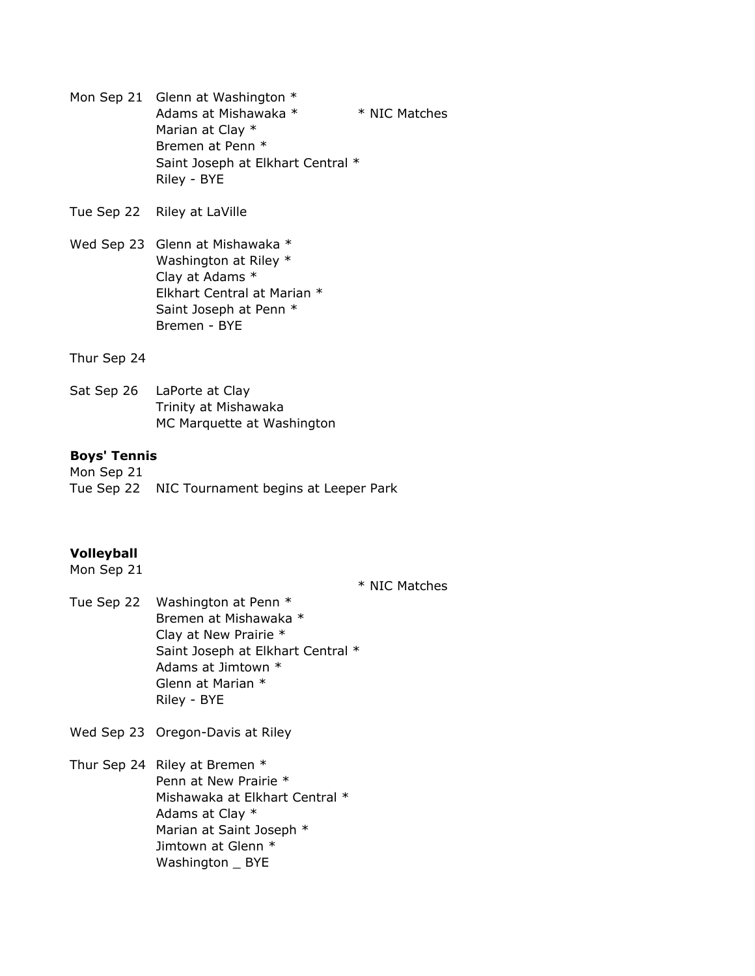- Mon Sep 21 Glenn at Washington  $*$ Adams at Mishawaka \* \* \* NIC Matches Marian at Clay \* Bremen at Penn \* Saint Joseph at Elkhart Central \* Riley - BYE
- Tue Sep 22 Riley at LaVille
- Wed Sep 23 Glenn at Mishawaka \* Washington at Riley \* Clay at Adams \* Elkhart Central at Marian \* Saint Joseph at Penn \* Bremen - BYE
- Thur Sep 24
- Sat Sep 26 LaPorte at Clay Trinity at Mishawaka MC Marquette at Washington

#### Boys' Tennis

Mon Sep 21 Tue Sep 22 NIC Tournament begins at Leeper Park

#### Volleyball

Mon Sep 21

\* NIC Matches

- Tue Sep 22 Washington at Penn \* Bremen at Mishawaka \* Clay at New Prairie \* Saint Joseph at Elkhart Central \* Adams at Jimtown \* Glenn at Marian \* Riley - BYE
- Wed Sep 23 Oregon-Davis at Riley
- Thur Sep 24 Riley at Bremen \* Penn at New Prairie \* Mishawaka at Elkhart Central \* Adams at Clay \* Marian at Saint Joseph \* Jimtown at Glenn \* Washington \_ BYE